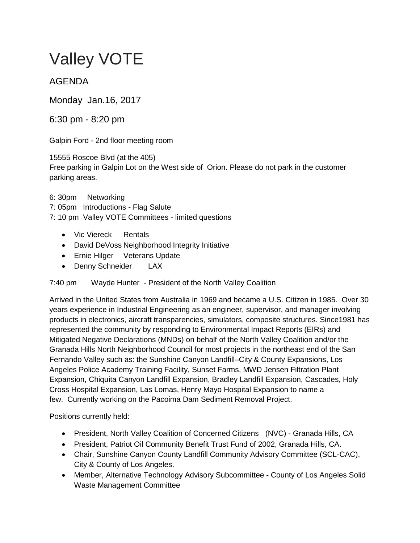# Valley VOTE

## AGENDA

Monday Jan.16, 2017

6:30 pm - 8:20 pm

Galpin Ford - 2nd floor meeting room

15555 Roscoe Blvd (at the 405) Free parking in Galpin Lot on the West side of Orion. Please do not park in the customer parking areas.

### 6: 30pm Networking

7: 05pm Introductions - Flag Salute

7: 10 pm Valley VOTE Committees - limited questions

- Vic Viereck Rentals
- David DeVoss Neighborhood Integrity Initiative
- Ernie Hilger Veterans Update
- Denny Schneider LAX

## 7:40 pm Wayde Hunter - President of the North Valley Coalition

Arrived in the United States from Australia in 1969 and became a U.S. Citizen in 1985. Over 30 years experience in Industrial Engineering as an engineer, supervisor, and manager involving products in electronics, aircraft transparencies, simulators, composite structures. Since1981 has represented the community by responding to Environmental Impact Reports (EIRs) and Mitigated Negative Declarations (MNDs) on behalf of the North Valley Coalition and/or the Granada Hills North Neighborhood Council for most projects in the northeast end of the San Fernando Valley such as: the Sunshine Canyon Landfill–City & County Expansions, Los Angeles Police Academy Training Facility, Sunset Farms, MWD Jensen Filtration Plant Expansion, Chiquita Canyon Landfill Expansion, Bradley Landfill Expansion, Cascades, Holy Cross Hospital Expansion, Las Lomas, Henry Mayo Hospital Expansion to name a few. Currently working on the Pacoima Dam Sediment Removal Project.

Positions currently held:

- President, North Valley Coalition of Concerned Citizens (NVC) Granada Hills, CA
- President, Patriot Oil Community Benefit Trust Fund of 2002, Granada Hills, CA.
- Chair, Sunshine Canyon County Landfill Community Advisory Committee (SCL-CAC), City & County of Los Angeles.
- Member, Alternative Technology Advisory Subcommittee County of Los Angeles Solid Waste Management Committee